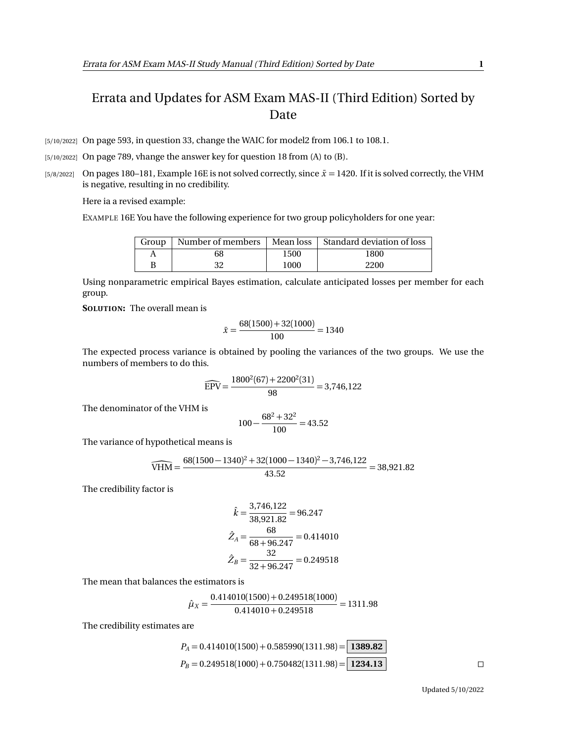## Errata and Updates for ASM Exam MAS-II (Third Edition) Sorted by Date

[5/10/2022] On page 593, in question 33, change the WAIC for model2 from 106.1 to 108.1.

[5/10/2022] On page 789, vhange the answer key for question 18 from (A) to (B).

[5/8/2022] On pages 180–181, Example 16E is not solved correctly, since  $\bar{x}$  = 1420. If it is solved correctly, the VHM is negative, resulting in no credibility.

Here ia a revised example:

EXAMPLE 16E You have the following experience for two group policyholders for one year:

| Group | Number of members |      | Mean loss   Standard deviation of loss |
|-------|-------------------|------|----------------------------------------|
|       | 68                | 1500 | 1800                                   |
|       |                   | 1000 | 2200                                   |

Using nonparametric empirical Bayes estimation, calculate anticipated losses per member for each group.

**SOLUTION:** The overall mean is

$$
\bar{x} = \frac{68(1500) + 32(1000)}{100} = 1340
$$

The expected process variance is obtained by pooling the variances of the two groups. We use the numbers of members to do this.

$$
\widehat{EPV} = \frac{1800^2(67) + 2200^2(31)}{98} = 3,746,122
$$

The denominator of the VHM is

$$
100 - \frac{68^2 + 32^2}{100} = 43.52
$$

The variance of hypothetical means is

$$
\widehat{\text{VHM}} = \frac{68(1500 - 1340)^2 + 32(1000 - 1340)^2 - 3,746,122}{43.52} = 38,921.82
$$

The credibility factor is

$$
\hat{k} = \frac{3,746,122}{38,921.82} = 96.247
$$

$$
\hat{Z}_A = \frac{68}{68 + 96.247} = 0.414010
$$

$$
\hat{Z}_B = \frac{32}{32 + 96.247} = 0.249518
$$

The mean that balances the estimators is

$$
\hat{\mu}_X = \frac{0.414010(1500) + 0.249518(1000)}{0.414010 + 0.249518} = 1311.98
$$

The credibility estimates are

$$
P_A = 0.414010(1500) + 0.585990(1311.98) = \boxed{1389.82}
$$
  
\n
$$
P_B = 0.249518(1000) + 0.750482(1311.98) = \boxed{1234.13}
$$

Updated 5/10/2022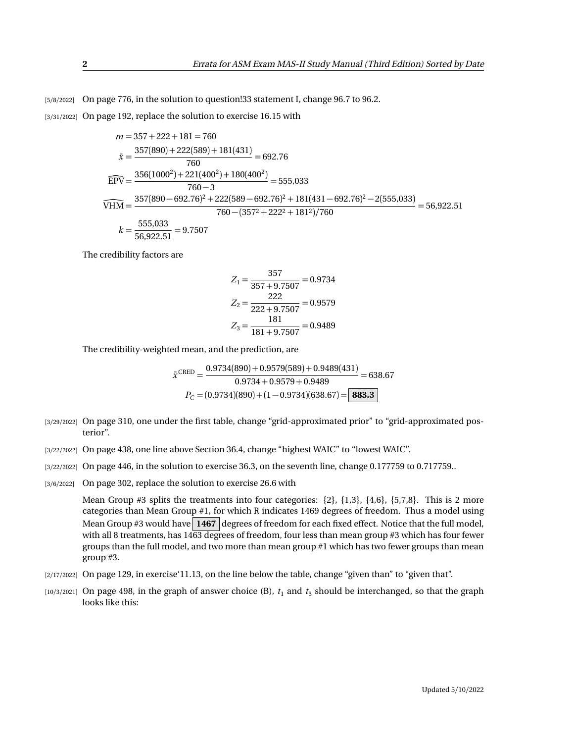[5/8/2022] On page 776, in the solution to question!33 statement I, change 96.7 to 96.2.

[3/31/2022] On page 192, replace the solution to exercise 16.15 with

$$
m = 357 + 222 + 181 = 760
$$
  
\n
$$
\bar{x} = \frac{357(890) + 222(589) + 181(431)}{760} = 692.76
$$
  
\n
$$
\widehat{EPV} = \frac{356(1000^2) + 221(400^2) + 180(400^2)}{760 - 3} = 555,033
$$
  
\n
$$
\widehat{VHM} = \frac{357(890 - 692.76)^2 + 222(589 - 692.76)^2 + 181(431 - 692.76)^2 - 2(555,033)}{760 - (3572 + 2222 + 1812)/760} = 56,922.51
$$
  
\n
$$
k = \frac{555,033}{56,922.51} = 9.7507
$$

The credibility factors are

$$
Z_1 = \frac{357}{357 + 9.7507} = 0.9734
$$

$$
Z_2 = \frac{222}{222 + 9.7507} = 0.9579
$$

$$
Z_3 = \frac{181}{181 + 9.7507} = 0.9489
$$

The credibility-weighted mean, and the prediction, are

$$
\bar{x}^{\text{CRED}} = \frac{0.9734(890) + 0.9579(589) + 0.9489(431)}{0.9734 + 0.9579 + 0.9489} = 638.67
$$

$$
P_C = (0.9734)(890) + (1 - 0.9734)(638.67) = \boxed{\textbf{883.3}}
$$

- [3/29/2022] On page 310, one under the first table, change "grid-approximated prior" to "grid-approximated posterior".
- [3/22/2022] On page 438, one line above Section 36.4, change "highest WAIC" to "lowest WAIC".
- [3/22/2022] On page 446, in the solution to exercise 36.3, on the seventh line, change 0.177759 to 0.717759..
- [3/6/2022] On page 302, replace the solution to exercise 26.6 with

Mean Group  $#3$  splits the treatments into four categories:  $\{2\}$ ,  $\{1,3\}$ ,  $\{4,6\}$ ,  $\{5,7,8\}$ . This is 2 more categories than Mean Group #1, for which R indicates 1469 degrees of freedom. Thus a model using Mean Group #3 would have 1467 degrees of freedom for each fixed effect. Notice that the full model, with all 8 treatments, has  $1463$  degrees of freedom, four less than mean group #3 which has four fewer groups than the full model, and two more than mean group #1 which has two fewer groups than mean group #3.

- [2/17/2022] On page 129, in exercise'11.13, on the line below the table, change "given than" to "given that".
- $[10/3/2021]$  On page 498, in the graph of answer choice (B),  $t_1$  and  $t_3$  should be interchanged, so that the graph looks like this: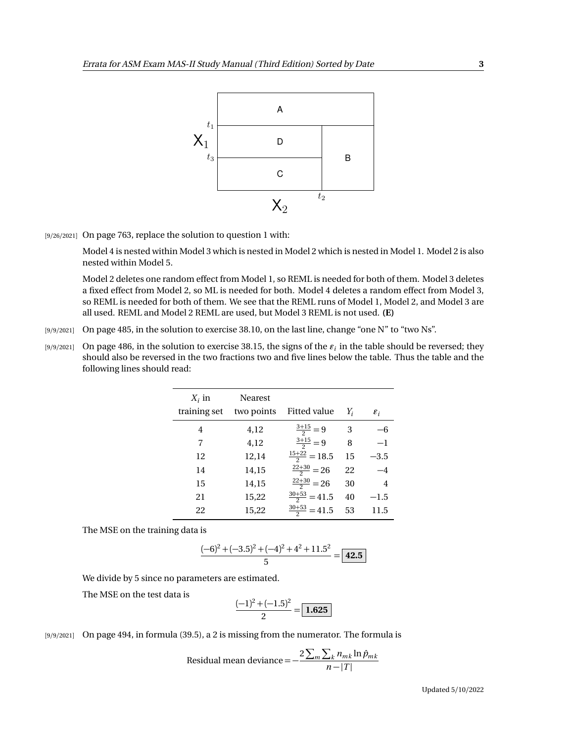

[9/26/2021] On page 763, replace the solution to question 1 with:

Model 4 is nested within Model 3 which is nested in Model 2 which is nested in Model 1. Model 2 is also nested within Model 5.

Model 2 deletes one random effect from Model 1, so REML is needed for both of them. Model 3 deletes a fixed effect from Model 2, so ML is needed for both. Model 4 deletes a random effect from Model 3, so REML is needed for both of them. We see that the REML runs of Model 1, Model 2, and Model 3 are all used. REML and Model 2 REML are used, but Model 3 REML is not used. **(E)**

- [9/9/2021] On page 485, in the solution to exercise 38.10, on the last line, change "one N" to "two Ns".
- $_{[9/9/2021]}$  On page 486, in the solution to exercise 38.15, the signs of the  $\varepsilon_i$  in the table should be reversed; they should also be reversed in the two fractions two and five lines below the table. Thus the table and the following lines should read:

| $X_i$ in<br>training set | <b>Nearest</b><br>two points | Fitted value             | $Y_i$ | $\varepsilon_i$ |
|--------------------------|------------------------------|--------------------------|-------|-----------------|
| 4                        | 4,12                         | $\frac{3+15}{2}=9$       | 3     | -6              |
| 7                        | 4,12                         | $\frac{3+15}{2}=9$       | 8     | $^{-1}$         |
| 12                       | 12,14                        | $\frac{15+22}{2} = 18.5$ | 15    | $-3.5$          |
| 14                       | 14,15                        | $\frac{22+30}{2} = 26$   | 22    | $-4$            |
| 15                       | 14,15                        | $\frac{22+30}{2} = 26$   | 30    | $\overline{4}$  |
| 21                       | 15,22                        | $\frac{30+53}{2}$ = 41.5 | 40    | $-1.5$          |
| 22                       | 15,22                        | $\frac{30+53}{2}$ = 41.5 | 53    | 11.5            |

The MSE on the training data is

$$
\frac{(-6)^2 + (-3.5)^2 + (-4)^2 + 4^2 + 11.5^2}{5} = \boxed{42.5}
$$

We divide by 5 since no parameters are estimated.

The MSE on the test data is

$$
\frac{(-1)^2 + (-1.5)^2}{2} = \boxed{1.625}
$$

[9/9/2021] On page 494, in formula (39.5), a 2 is missing from the numerator. The formula is

Residual mean deviance = 
$$
-\frac{2\sum_{m}\sum_{k}n_{mk}\ln\hat{p}_{mk}}{n-|T|}
$$